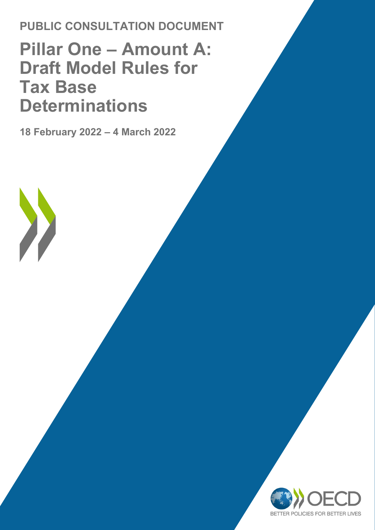### **PUBLIC CONSULTATION DOCUMENT**

### **Pillar One – Amount A: Draft Model Rules for Tax Base Determinations**

**18 February 2022 – 4 March 2022** 

 $\sum_{i=1}^{n}$ 

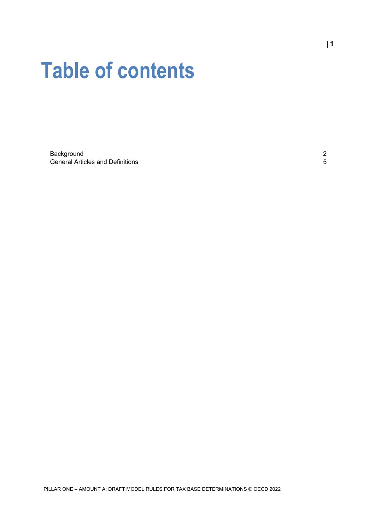# **Table of contents**

[Background](#page-2-0) 2 [General Articles and Definitions](#page-5-0) **5**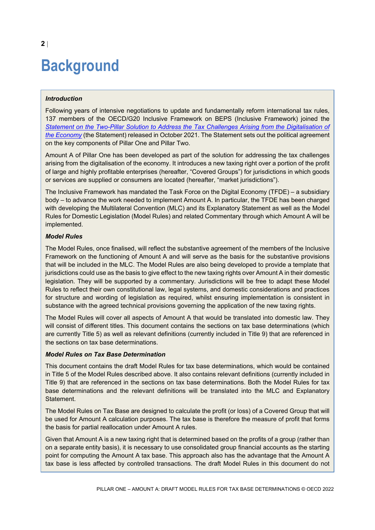## <span id="page-2-0"></span>**Background**

#### *Introduction*

Following years of intensive negotiations to update and fundamentally reform international tax rules, 137 members of the OECD/G20 Inclusive Framework on BEPS (Inclusive Framework) joined the *[Statement on the Two-Pillar Solution to Address the Tax Challenges Arising from the Digitalisation of](https://www.oecd.org/tax/beps/statement-on-a-two-pillar-solution-to-address-the-tax-challenges-arising-from-the-digitalisation-of-the-economy-october-2021.htm)  [the Economy](https://www.oecd.org/tax/beps/statement-on-a-two-pillar-solution-to-address-the-tax-challenges-arising-from-the-digitalisation-of-the-economy-october-2021.htm)* (the Statement) released in October 2021. The Statement sets out the political agreement on the key components of Pillar One and Pillar Two.

Amount A of Pillar One has been developed as part of the solution for addressing the tax challenges arising from the digitalisation of the economy. It introduces a new taxing right over a portion of the profit of large and highly profitable enterprises (hereafter, "Covered Groups") for jurisdictions in which goods or services are supplied or consumers are located (hereafter, "market jurisdictions").

The Inclusive Framework has mandated the Task Force on the Digital Economy (TFDE) – a subsidiary body – to advance the work needed to implement Amount A. In particular, the TFDE has been charged with developing the Multilateral Convention (MLC) and its Explanatory Statement as well as the Model Rules for Domestic Legislation (Model Rules) and related Commentary through which Amount A will be implemented.

#### *Model Rules*

The Model Rules, once finalised, will reflect the substantive agreement of the members of the Inclusive Framework on the functioning of Amount A and will serve as the basis for the substantive provisions that will be included in the MLC. The Model Rules are also being developed to provide a template that jurisdictions could use as the basis to give effect to the new taxing rights over Amount A in their domestic legislation. They will be supported by a commentary. Jurisdictions will be free to adapt these Model Rules to reflect their own constitutional law, legal systems, and domestic considerations and practices for structure and wording of legislation as required, whilst ensuring implementation is consistent in substance with the agreed technical provisions governing the application of the new taxing rights.

The Model Rules will cover all aspects of Amount A that would be translated into domestic law. They will consist of different titles. This document contains the sections on tax base determinations (which are currently Title 5) as well as relevant definitions (currently included in Title 9) that are referenced in the sections on tax base determinations.

#### *Model Rules on Tax Base Determination*

This document contains the draft Model Rules for tax base determinations, which would be contained in Title 5 of the Model Rules described above. It also contains relevant definitions (currently included in Title 9) that are referenced in the sections on tax base determinations. Both the Model Rules for tax base determinations and the relevant definitions will be translated into the MLC and Explanatory Statement.

The Model Rules on Tax Base are designed to calculate the profit (or loss) of a Covered Group that will be used for Amount A calculation purposes. The tax base is therefore the measure of profit that forms the basis for partial reallocation under Amount A rules.

Given that Amount A is a new taxing right that is determined based on the profits of a group (rather than on a separate entity basis), it is necessary to use consolidated group financial accounts as the starting point for computing the Amount A tax base. This approach also has the advantage that the Amount A tax base is less affected by controlled transactions. The draft Model Rules in this document do not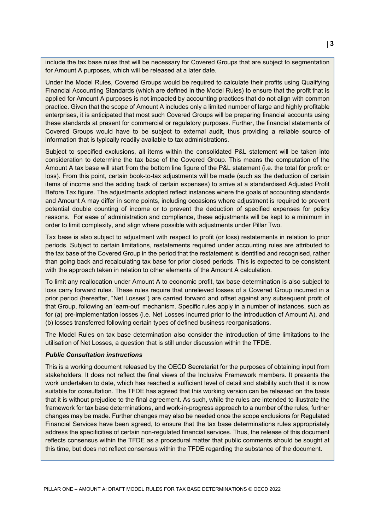include the tax base rules that will be necessary for Covered Groups that are subject to segmentation for Amount A purposes, which will be released at a later date.

Under the Model Rules, Covered Groups would be required to calculate their profits using Qualifying Financial Accounting Standards (which are defined in the Model Rules) to ensure that the profit that is applied for Amount A purposes is not impacted by accounting practices that do not align with common practice. Given that the scope of Amount A includes only a limited number of large and highly profitable enterprises, it is anticipated that most such Covered Groups will be preparing financial accounts using these standards at present for commercial or regulatory purposes. Further, the financial statements of Covered Groups would have to be subject to external audit, thus providing a reliable source of information that is typically readily available to tax administrations.

Subject to specified exclusions, all items within the consolidated P&L statement will be taken into consideration to determine the tax base of the Covered Group. This means the computation of the Amount A tax base will start from the bottom line figure of the P&L statement (i.e. the total for profit or loss). From this point, certain book-to-tax adjustments will be made (such as the deduction of certain items of income and the adding back of certain expenses) to arrive at a standardised Adjusted Profit Before Tax figure. The adjustments adopted reflect instances where the goals of accounting standards and Amount A may differ in some points, including occasions where adjustment is required to prevent potential double counting of income or to prevent the deduction of specified expenses for policy reasons. For ease of administration and compliance, these adjustments will be kept to a minimum in order to limit complexity, and align where possible with adjustments under Pillar Two.

Tax base is also subject to adjustment with respect to profit (or loss) restatements in relation to prior periods. Subject to certain limitations, restatements required under accounting rules are attributed to the tax base of the Covered Group in the period that the restatement is identified and recognised, rather than going back and recalculating tax base for prior closed periods. This is expected to be consistent with the approach taken in relation to other elements of the Amount A calculation.

To limit any reallocation under Amount A to economic profit, tax base determination is also subject to loss carry forward rules. These rules require that unrelieved losses of a Covered Group incurred in a prior period (hereafter, "Net Losses") are carried forward and offset against any subsequent profit of that Group, following an 'earn-out' mechanism. Specific rules apply in a number of instances, such as for (a) pre-implementation losses (i.e. Net Losses incurred prior to the introduction of Amount A), and (b) losses transferred following certain types of defined business reorganisations.

The Model Rules on tax base determination also consider the introduction of time limitations to the utilisation of Net Losses, a question that is still under discussion within the TFDE.

#### *Public Consultation instructions*

This is a working document released by the OECD Secretariat for the purposes of obtaining input from stakeholders. It does not reflect the final views of the Inclusive Framework members. It presents the work undertaken to date, which has reached a sufficient level of detail and stability such that it is now suitable for consultation. The TFDE has agreed that this working version can be released on the basis that it is without prejudice to the final agreement. As such, while the rules are intended to illustrate the framework for tax base determinations, and work-in-progress approach to a number of the rules, further changes may be made. Further changes may also be needed once the scope exclusions for Regulated Financial Services have been agreed, to ensure that the tax base determinations rules appropriately address the specificities of certain non-regulated financial services. Thus, the release of this document reflects consensus within the TFDE as a procedural matter that public comments should be sought at this time, but does not reflect consensus within the TFDE regarding the substance of the document.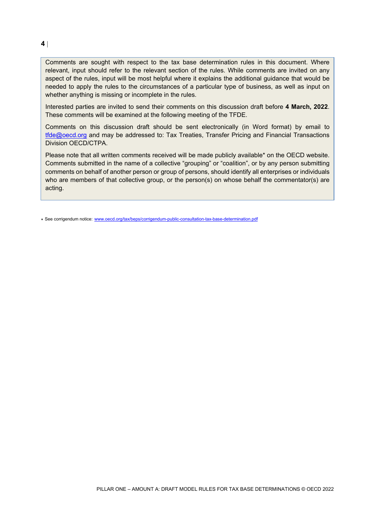#### **4** |

Comments are sought with respect to the tax base determination rules in this document. Where relevant, input should refer to the relevant section of the rules. While comments are invited on any aspect of the rules, input will be most helpful where it explains the additional guidance that would be needed to apply the rules to the circumstances of a particular type of business, as well as input on whether anything is missing or incomplete in the rules.

Interested parties are invited to send their comments on this discussion draft before **4 March, 2022**. These comments will be examined at the following meeting of the TFDE.

Comments on this discussion draft should be sent electronically (in Word format) by email to [tfde@oecd.org](mailto:tfde@oecd.org) and may be addressed to: Tax Treaties, Transfer Pricing and Financial Transactions Division OECD/CTPA.

Please note that all written comments received will be made publicly available\* on the OECD website. Comments submitted in the name of a collective "grouping" or "coalition", or by any person submitting comments on behalf of another person or group of persons, should identify all enterprises or individuals who are members of that collective group, or the person(s) on whose behalf the commentator(s) are acting.

\* See corrigendum notice: [www.oecd.org/tax/beps/corrigendum-public-consultation-tax-base-determination.pdf](http://www.oecd.org/tax/beps/corrigendum-public-consultation-tax-base-determination.pdf)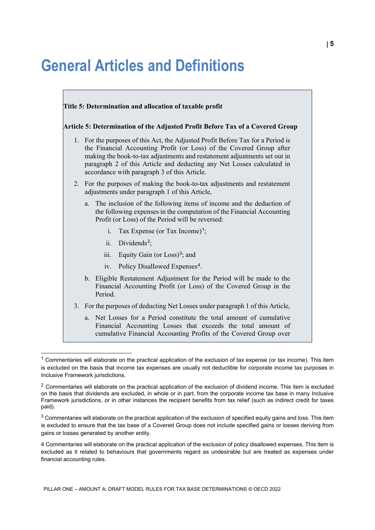### <span id="page-5-0"></span>**General Articles and Definitions**



<span id="page-5-1"></span> $1$  Commentaries will elaborate on the practical application of the exclusion of tax expense (or tax income). This item is excluded on the basis that income tax expenses are usually not deductible for corporate income tax purposes in Inclusive Framework jurisdictions.

<span id="page-5-2"></span><sup>&</sup>lt;sup>2</sup> Commentaries will elaborate on the practical application of the exclusion of dividend income. This item is excluded on the basis that dividends are excluded, in whole or in part, from the corporate income tax base in many Inclusive Framework jurisdictions, or in other instances the recipient benefits from tax relief (such as indirect credit for taxes paid).

<span id="page-5-3"></span> $3$  Commentaries will elaborate on the practical application of the exclusion of specified equity gains and loss. This item is excluded to ensure that the tax base of a Covered Group does not include specified gains or losses deriving from gains or losses generated by another entity.

<span id="page-5-4"></span><sup>4</sup> Commentaries will elaborate on the practical application of the exclusion of policy disallowed expenses. This item is excluded as it related to behaviours that governments regard as undesirable but are treated as expenses under financial accounting rules.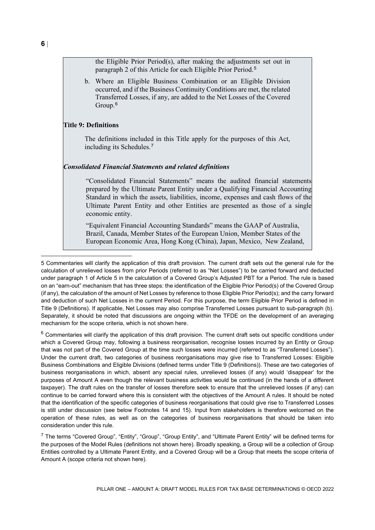the Eligible Prior Period(s), after making the adjustments set out in paragraph 2 of this Article for each Eligible Prior Period.[5](#page-6-0)

b. Where an Eligible Business Combination or an Eligible Division occurred, and if the Business Continuity Conditions are met, the related Transferred Losses, if any, are added to the Net Losses of the Covered Group. [6](#page-6-1)

#### **Title 9: Definitions**

The definitions included in this Title apply for the purposes of this Act, including its Schedules.[7](#page-6-2)

#### *Consolidated Financial Statements and related definitions*

"Consolidated Financial Statements" means the audited financial statements prepared by the Ultimate Parent Entity under a Qualifying Financial Accounting Standard in which the assets, liabilities, income, expenses and cash flows of the Ultimate Parent Entity and other Entities are presented as those of a single economic entity.

"Equivalent Financial Accounting Standards" means the GAAP of Australia, Brazil, Canada, Member States of the European Union, Member States of the European Economic Area, Hong Kong (China), Japan, Mexico, New Zealand,

<span id="page-6-1"></span> $6$  Commentaries will clarify the application of this draft provision. The current draft sets out specific conditions under which a Covered Group may, following a business reorganisation, recognise losses incurred by an Entity or Group that was not part of the Covered Group at the time such losses were incurred (referred to as "Transferred Losses"). Under the current draft, two categories of business reorganisations may give rise to Transferred Losses: Eligible Business Combinations and Eligible Divisions (defined terms under Title 9 (Definitions)). These are two categories of business reorganisations in which, absent any special rules, unrelieved losses (if any) would 'disappear' for the purposes of Amount A even though the relevant business activities would be continued (in the hands of a different taxpayer). The draft rules on the transfer of losses therefore seek to ensure that the unrelieved losses (if any) can continue to be carried forward where this is consistent with the objectives of the Amount A rules. It should be noted that the identification of the specific categories of business reorganisations that could give rise to Transferred Losses is still under discussion (see below Footnotes [14](#page-10-0) and [15\)](#page-10-1). Input from stakeholders is therefore welcomed on the operation of these rules, as well as on the categories of business reorganisations that should be taken into consideration under this rule.

<span id="page-6-2"></span><sup>7</sup> The terms "Covered Group", "Entity", "Group", "Group Entity", and "Ultimate Parent Entity" will be defined terms for the purposes of the Model Rules (definitions not shown here). Broadly speaking, a Group will be a collection of Group Entities controlled by a Ultimate Parent Entity, and a Covered Group will be a Group that meets the scope criteria of Amount A (scope criteria not shown here).

-

<span id="page-6-0"></span><sup>5</sup> Commentaries will clarify the application of this draft provision. The current draft sets out the general rule for the calculation of unrelieved losses from prior Periods (referred to as "Net Losses") to be carried forward and deducted under paragraph 1 of Article 5 in the calculation of a Covered Group's Adjusted PBT for a Period. The rule is based on an "earn-out" mechanism that has three steps: the identification of the Eligible Prior Period(s) of the Covered Group (if any), the calculation of the amount of Net Losses by reference to those Eligible Prior Period(s); and the carry forward and deduction of such Net Losses in the current Period. For this purpose, the term Eligible Prior Period is defined in Title 9 (Definitions). If applicable, Net Losses may also comprise Transferred Losses pursuant to sub-paragraph (b). Separately, it should be noted that discussions are ongoing within the TFDE on the development of an averaging mechanism for the scope criteria, which is not shown here.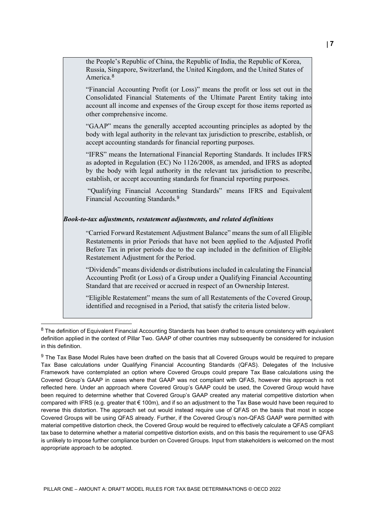America.<sup>[8](#page-7-0)</sup> other comprehensive income. "GAAP" means the generally accepted accounting principles as adopted by the accept accounting standards for financial reporting purposes. "IFRS" means the International Financial Reporting Standards. It includes IFRS as adopted in Regulation (EC) No 1126/2008, as amended, and IFRS as adopted by the body with legal authority in the relevant tax jurisdiction to prescribe, establish, or accept accounting standards for financial reporting purposes. "Qualifying Financial Accounting Standards" means IFRS and Equivalent Financial Accounting Standards.[9](#page-7-1) *Book-to-tax adjustments, restatement adjustments, and related definitions* "Carried Forward Restatement Adjustment Balance" means the sum of all Eligible

Restatements in prior Periods that have not been applied to the Adjusted Profit Before Tax in prior periods due to the cap included in the definition of Eligible Restatement Adjustment for the Period.

"Dividends" means dividends or distributions included in calculating the Financial Accounting Profit (or Loss) of a Group under a Qualifying Financial Accounting Standard that are received or accrued in respect of an Ownership Interest.

"Eligible Restatement" means the sum of all Restatements of the Covered Group, identified and recognised in a Period, that satisfy the criteria listed below.

"Financial Accounting Profit (or Loss)" means the profit or loss set out in the Consolidated Financial Statements of the Ultimate Parent Entity taking into account all income and expenses of the Group except for those items reported as

body with legal authority in the relevant tax jurisdiction to prescribe, establish, or

<span id="page-7-0"></span> $8$  The definition of Equivalent Financial Accounting Standards has been drafted to ensure consistency with equivalent definition applied in the context of Pillar Two. GAAP of other countries may subsequently be considered for inclusion in this definition.

<span id="page-7-1"></span><sup>&</sup>lt;sup>9</sup> The Tax Base Model Rules have been drafted on the basis that all Covered Groups would be required to prepare Tax Base calculations under Qualifying Financial Accounting Standards (QFAS). Delegates of the Inclusive Framework have contemplated an option where Covered Groups could prepare Tax Base calculations using the Covered Group's GAAP in cases where that GAAP was not compliant with QFAS, however this approach is not reflected here. Under an approach where Covered Group's GAAP could be used, the Covered Group would have been required to determine whether that Covered Group's GAAP created any material competitive distortion when compared with IFRS (e.g. greater that € 100m), and if so an adjustment to the Tax Base would have been required to reverse this distortion. The approach set out would instead require use of QFAS on the basis that most in scope Covered Groups will be using QFAS already. Further, if the Covered Group's non-QFAS GAAP were permitted with material competitive distortion check, the Covered Group would be required to effectively calculate a QFAS compliant tax base to determine whether a material competitive distortion exists, and on this basis the requirement to use QFAS is unlikely to impose further compliance burden on Covered Groups. Input from stakeholders is welcomed on the most appropriate approach to be adopted.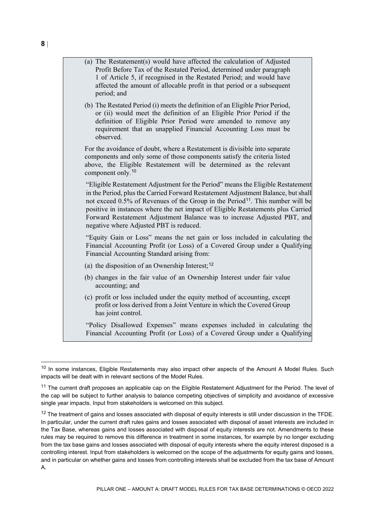period; and

(b) The Restated Period (i) meets the definition of an Eligible Prior Period, or (ii) would meet the definition of an Eligible Prior Period if the definition of Eligible Prior Period were amended to remove any requirement that an unapplied Financial Accounting Loss must be observed.

affected the amount of allocable profit in that period or a subsequent

For the avoidance of doubt, where a Restatement is divisible into separate components and only some of those components satisfy the criteria listed above, the Eligible Restatement will be determined as the relevant component only. [10](#page-8-0)

"Eligible Restatement Adjustment for the Period" means the Eligible Restatement in the Period, plus the Carried Forward Restatement Adjustment Balance, but shall not exceed 0.5% of Revenues of the Group in the Period<sup>[11](#page-8-1)</sup>. This number will be positive in instances where the net impact of Eligible Restatements plus Carried Forward Restatement Adjustment Balance was to increase Adjusted PBT, and negative where Adjusted PBT is reduced.

"Equity Gain or Loss" means the net gain or loss included in calculating the Financial Accounting Profit (or Loss) of a Covered Group under a Qualifying Financial Accounting Standard arising from:

- (a) the disposition of an Ownership Interest;  $12$
- (b) changes in the fair value of an Ownership Interest under fair value accounting; and
- (c) profit or loss included under the equity method of accounting, except profit or loss derived from a Joint Venture in which the Covered Group has joint control.

"Policy Disallowed Expenses" means expenses included in calculating the Financial Accounting Profit (or Loss) of a Covered Group under a Qualifying

<span id="page-8-0"></span><sup>&</sup>lt;sup>10</sup> In some instances, Eligible Restatements may also impact other aspects of the Amount A Model Rules. Such impacts will be dealt with in relevant sections of the Model Rules.

<span id="page-8-1"></span><sup>&</sup>lt;sup>11</sup> The current draft proposes an applicable cap on the Eligible Restatement Adjustment for the Period. The level of the cap will be subject to further analysis to balance competing objectives of simplicity and avoidance of excessive single year impacts. Input from stakeholders is welcomed on this subject.

<span id="page-8-2"></span> $12$  The treatment of gains and losses associated with disposal of equity interests is still under discussion in the TFDE. In particular, under the current draft rules gains and losses associated with disposal of asset interests are included in the Tax Base, whereas gains and losses associated with disposal of equity interests are not. Amendments to these rules may be required to remove this difference in treatment in some instances, for example by no longer excluding from the tax base gains and losses associated with disposal of equity interests where the equity interest disposed is a controlling interest. Input from stakeholders is welcomed on the scope of the adjustments for equity gains and losses, and in particular on whether gains and losses from controlling interests shall be excluded from the tax base of Amount A.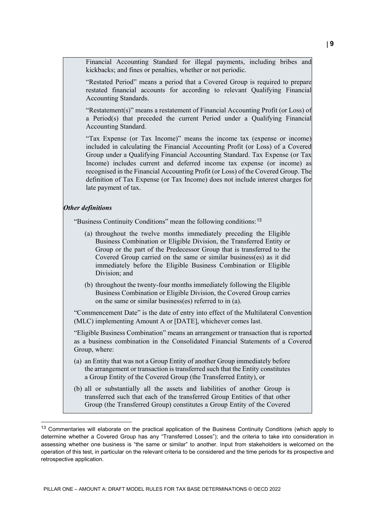Financial Accounting Standard for illegal payments, including bribes and kickbacks; and fines or penalties, whether or not periodic.

"Restated Period" means a period that a Covered Group is required to prepare restated financial accounts for according to relevant Qualifying Financial Accounting Standards.

"Restatement(s)" means a restatement of Financial Accounting Profit (or Loss) of a Period(s) that preceded the current Period under a Qualifying Financial Accounting Standard.

"Tax Expense (or Tax Income)" means the income tax (expense or income) included in calculating the Financial Accounting Profit (or Loss) of a Covered Group under a Qualifying Financial Accounting Standard. Tax Expense (or Tax Income) includes current and deferred income tax expense (or income) as recognised in the Financial Accounting Profit (or Loss) of the Covered Group. The definition of Tax Expense (or Tax Income) does not include interest charges for late payment of tax.

#### *Other definitions*

"Business Continuity Conditions" mean the following conditions:[13](#page-9-0)

- (a) throughout the twelve months immediately preceding the Eligible Business Combination or Eligible Division, the Transferred Entity or Group or the part of the Predecessor Group that is transferred to the Covered Group carried on the same or similar business(es) as it did immediately before the Eligible Business Combination or Eligible Division; and
- (b) throughout the twenty-four months immediately following the Eligible Business Combination or Eligible Division, the Covered Group carries on the same or similar business(es) referred to in (a).

"Commencement Date" is the date of entry into effect of the Multilateral Convention (MLC) implementing Amount A or [DATE], whichever comes last.

"Eligible Business Combination" means an arrangement or transaction that is reported as a business combination in the Consolidated Financial Statements of a Covered Group, where:

- (a) an Entity that was not a Group Entity of another Group immediately before the arrangement or transaction is transferred such that the Entity constitutes a Group Entity of the Covered Group (the Transferred Entity), or
- (b) all or substantially all the assets and liabilities of another Group is transferred such that each of the transferred Group Entities of that other Group (the Transferred Group) constitutes a Group Entity of the Covered

<span id="page-9-0"></span><sup>&</sup>lt;sup>13</sup> Commentaries will elaborate on the practical application of the Business Continuity Conditions (which apply to determine whether a Covered Group has any "Transferred Losses"); and the criteria to take into consideration in assessing whether one business is "the same or similar" to another. Input from stakeholders is welcomed on the operation of this test, in particular on the relevant criteria to be considered and the time periods for its prospective and retrospective application.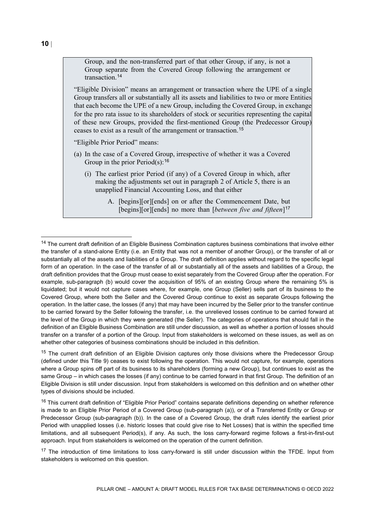<span id="page-10-0"></span>Group, and the non-transferred part of that other Group, if any, is not a Group separate from the Covered Group following the arrangement or transaction. [14](#page-10-2)

"Eligible Division" means an arrangement or transaction where the UPE of a single Group transfers all or substantially all its assets and liabilities to two or more Entities that each become the UPE of a new Group, including the Covered Group, in exchange for the pro rata issue to its shareholders of stock or securities representing the capital of these new Groups, provided the first-mentioned Group (the Predecessor Group) ceases to exist as a result of the arrangement or transaction.[15](#page-10-3)

<span id="page-10-1"></span>"Eligible Prior Period" means:

- (a) In the case of a Covered Group, irrespective of whether it was a Covered Group in the prior Period(s):  $16$ 
	- (i) The earliest prior Period (if any) of a Covered Group in which, after making the adjustments set out in paragraph 2 of Article 5, there is an unapplied Financial Accounting Loss, and that either
		- A. [begins][or][ends] on or after the Commencement Date, but [begins][or][ends] no more than [*between five and fifteen*][17](#page-10-5)

<span id="page-10-2"></span> $14$  The current draft definition of an Eligible Business Combination captures business combinations that involve either the transfer of a stand-alone Entity (i.e. an Entity that was not a member of another Group), or the transfer of all or substantially all of the assets and liabilities of a Group. The draft definition applies without regard to the specific legal form of an operation. In the case of the transfer of all or substantially all of the assets and liabilities of a Group, the draft definition provides that the Group must cease to exist separately from the Covered Group after the operation. For example, sub-paragraph (b) would cover the acquisition of 95% of an existing Group where the remaining 5% is liquidated; but it would not capture cases where, for example, one Group (Seller) sells part of its business to the Covered Group, where both the Seller and the Covered Group continue to exist as separate Groups following the operation. In the latter case, the losses (if any) that may have been incurred by the Seller prior to the transfer continue to be carried forward by the Seller following the transfer, i.e. the unrelieved losses continue to be carried forward at the level of the Group in which they were generated (the Seller). The categories of operations that should fall in the definition of an Eligible Business Combination are still under discussion, as well as whether a portion of losses should transfer on a transfer of a portion of the Group. Input from stakeholders is welcomed on these issues, as well as on whether other categories of business combinations should be included in this definition.

<span id="page-10-3"></span><sup>&</sup>lt;sup>15</sup> The current draft definition of an Eligible Division captures only those divisions where the Predecessor Group (defined under this Title 9) ceases to exist following the operation. This would not capture, for example, operations where a Group spins off part of its business to its shareholders (forming a new Group), but continues to exist as the same Group – in which cases the losses (if any) continue to be carried forward in that first Group. The definition of an Eligible Division is still under discussion. Input from stakeholders is welcomed on this definition and on whether other types of divisions should be included.

<span id="page-10-4"></span><sup>&</sup>lt;sup>16</sup> This current draft definition of "Eligible Prior Period" contains separate definitions depending on whether reference is made to an Eligible Prior Period of a Covered Group (sub-paragraph (a)), or of a Transferred Entity or Group or Predecessor Group (sub-paragraph (b)). In the case of a Covered Group, the draft rules identify the earliest prior Period with unapplied losses (i.e. historic losses that could give rise to Net Losses) that is within the specified time limitations, and all subsequent Period(s), if any. As such, the loss carry-forward regime follows a first-in-first-out approach. Input from stakeholders is welcomed on the operation of the current definition.

<span id="page-10-5"></span><sup>&</sup>lt;sup>17</sup> The introduction of time limitations to loss carry-forward is still under discussion within the TFDE. Input from stakeholders is welcomed on this question.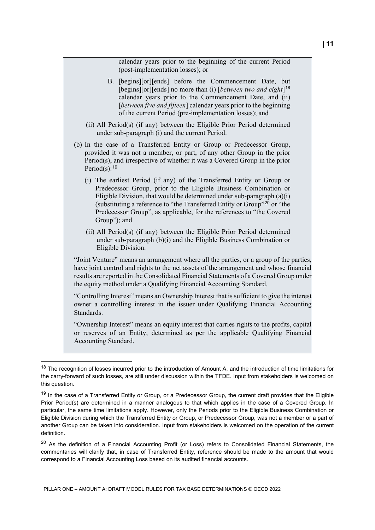| calendar years prior to the beginning of the current Period<br>(post-implementation losses); or                                                                                                                                                                                                                                                                                                         |
|---------------------------------------------------------------------------------------------------------------------------------------------------------------------------------------------------------------------------------------------------------------------------------------------------------------------------------------------------------------------------------------------------------|
| B. [begins][or][ends] before the Commencement Date, but<br>[begins][or][ends] no more than (i) [between two and eight] <sup>18</sup><br>calendar years prior to the Commencement Date, and (ii)<br>[between five and fifteen] calendar years prior to the beginning<br>of the current Period (pre-implementation losses); and                                                                           |
| (ii) All Period(s) (if any) between the Eligible Prior Period determined<br>under sub-paragraph (i) and the current Period.                                                                                                                                                                                                                                                                             |
| (b) In the case of a Transferred Entity or Group or Predecessor Group,<br>provided it was not a member, or part, of any other Group in the prior<br>Period(s), and irrespective of whether it was a Covered Group in the prior<br>Period(s): $19$                                                                                                                                                       |
| (i) The earliest Period (if any) of the Transferred Entity or Group or<br>Predecessor Group, prior to the Eligible Business Combination or<br>Eligible Division, that would be determined under sub-paragraph $(a)(i)$<br>(substituting a reference to "the Transferred Entity or Group" <sup>20</sup> or "the<br>Predecessor Group", as applicable, for the references to "the Covered<br>Group"); and |
| (ii) All Period(s) (if any) between the Eligible Prior Period determined<br>under sub-paragraph (b)(i) and the Eligible Business Combination or<br>Eligible Division.                                                                                                                                                                                                                                   |
| "Joint Venture" means an arrangement where all the parties, or a group of the parties,<br>have joint control and rights to the net assets of the arrangement and whose financial<br>results are reported in the Consolidated Financial Statements of a Covered Group under<br>the equity method under a Qualifying Financial Accounting Standard.                                                       |
| "Controlling Interest" means an Ownership Interest that is sufficient to give the interest<br>owner a controlling interest in the issuer under Qualifying Financial Accounting<br>Standards.                                                                                                                                                                                                            |
| "Ownership Interest" means an equity interest that carries rights to the profits, capital<br>or reserves of an Entity, determined as per the applicable Qualifying Financial<br>Accounting Standard.                                                                                                                                                                                                    |

<span id="page-11-0"></span><sup>&</sup>lt;sup>18</sup> The recognition of losses incurred prior to the introduction of Amount A, and the introduction of time limitations for the carry-forward of such losses, are still under discussion within the TFDE. Input from stakeholders is welcomed on this question.

<span id="page-11-2"></span><sup>20</sup> As the definition of a Financial Accounting Profit (or Loss) refers to Consolidated Financial Statements, the commentaries will clarify that, in case of Transferred Entity, reference should be made to the amount that would correspond to a Financial Accounting Loss based on its audited financial accounts.

<span id="page-11-1"></span><sup>&</sup>lt;sup>19</sup> In the case of a Transferred Entity or Group, or a Predecessor Group, the current draft provides that the Eligible Prior Period(s) are determined in a manner analogous to that which applies in the case of a Covered Group. In particular, the same time limitations apply. However, only the Periods prior to the Eligible Business Combination or Eligible Division during which the Transferred Entity or Group, or Predecessor Group, was not a member or a part of another Group can be taken into consideration. Input from stakeholders is welcomed on the operation of the current definition.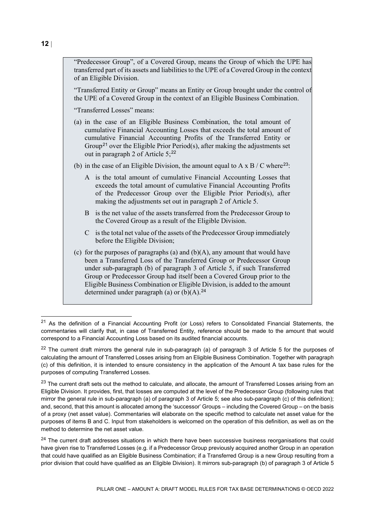"Predecessor Group", of a Covered Group, means the Group of which the UPE has transferred part of its assets and liabilities to the UPE of a Covered Group in the context of an Eligible Division.

"Transferred Entity or Group" means an Entity or Group brought under the control of the UPE of a Covered Group in the context of an Eligible Business Combination.

"Transferred Losses" means:

- (a) in the case of an Eligible Business Combination, the total amount of cumulative Financial Accounting Losses that exceeds the total amount of cumulative Financial Accounting Profits of the Transferred Entity or Group<sup>[21](#page-12-0)</sup> over the Eligible Prior Period(s), after making the adjustments set out in paragraph 2 of Article  $5:^{22}$  $5:^{22}$  $5:^{22}$
- (b) in the case of an Eligible Division, the amount equal to A x B / C where<sup>[23](#page-12-2)</sup>:
	- A is the total amount of cumulative Financial Accounting Losses that exceeds the total amount of cumulative Financial Accounting Profits of the Predecessor Group over the Eligible Prior Period(s), after making the adjustments set out in paragraph 2 of Article 5.
	- B is the net value of the assets transferred from the Predecessor Group to the Covered Group as a result of the Eligible Division.
	- C is the total net value of the assets of the Predecessor Group immediately before the Eligible Division;
- (c) for the purposes of paragraphs (a) and  $(b)(A)$ , any amount that would have been a Transferred Loss of the Transferred Group or Predecessor Group under sub-paragraph (b) of paragraph 3 of Article 5, if such Transferred Group or Predecessor Group had itself been a Covered Group prior to the Eligible Business Combination or Eligible Division, is added to the amount determined under paragraph (a) or (b)(A).<sup>[24](#page-12-3)</sup>

<span id="page-12-0"></span><sup>&</sup>lt;sup>21</sup> As the definition of a Financial Accounting Profit (or Loss) refers to Consolidated Financial Statements, the commentaries will clarify that, in case of Transferred Entity, reference should be made to the amount that would correspond to a Financial Accounting Loss based on its audited financial accounts.

<span id="page-12-1"></span> $22$  The current draft mirrors the general rule in sub-paragraph (a) of paragraph 3 of Article 5 for the purposes of calculating the amount of Transferred Losses arising from an Eligible Business Combination. Together with paragraph (c) of this definition, it is intended to ensure consistency in the application of the Amount A tax base rules for the purposes of computing Transferred Losses.

<span id="page-12-2"></span><sup>&</sup>lt;sup>23</sup> The current draft sets out the method to calculate, and allocate, the amount of Transferred Losses arising from an Eligible Division. It provides, first, that losses are computed at the level of the Predecessor Group (following rules that mirror the general rule in sub-paragraph (a) of paragraph 3 of Article 5; see also sub-paragraph (c) of this definition); and, second, that this amount is allocated among the 'successor' Groups – including the Covered Group – on the basis of a proxy (net asset value). Commentaries will elaborate on the specific method to calculate net asset value for the purposes of items B and C. Input from stakeholders is welcomed on the operation of this definition, as well as on the method to determine the net asset value.

<span id="page-12-3"></span><sup>&</sup>lt;sup>24</sup> The current draft addresses situations in which there have been successive business reorganisations that could have given rise to Transferred Losses (e.g. if a Predecessor Group previously acquired another Group in an operation that could have qualified as an Eligible Business Combination; if a Transferred Group is a new Group resulting from a prior division that could have qualified as an Eligible Division). It mirrors sub-paragraph (b) of paragraph 3 of Article 5